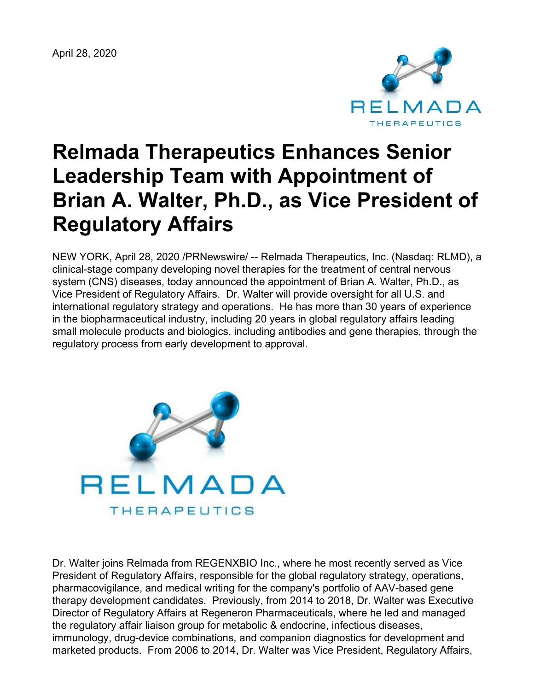April 28, 2020



# **Relmada Therapeutics Enhances Senior Leadership Team with Appointment of Brian A. Walter, Ph.D., as Vice President of Regulatory Affairs**

NEW YORK, April 28, 2020 /PRNewswire/ -- Relmada Therapeutics, Inc. (Nasdaq: RLMD), a clinical-stage company developing novel therapies for the treatment of central nervous system (CNS) diseases, today announced the appointment of Brian A. Walter, Ph.D., as Vice President of Regulatory Affairs. Dr. Walter will provide oversight for all U.S. and international regulatory strategy and operations. He has more than 30 years of experience in the biopharmaceutical industry, including 20 years in global regulatory affairs leading small molecule products and biologics, including antibodies and gene therapies, through the regulatory process from early development to approval.



Dr. Walter joins Relmada from REGENXBIO Inc., where he most recently served as Vice President of Regulatory Affairs, responsible for the global regulatory strategy, operations, pharmacovigilance, and medical writing for the company's portfolio of AAV-based gene therapy development candidates. Previously, from 2014 to 2018, Dr. Walter was Executive Director of Regulatory Affairs at Regeneron Pharmaceuticals, where he led and managed the regulatory affair liaison group for metabolic & endocrine, infectious diseases, immunology, drug-device combinations, and companion diagnostics for development and marketed products. From 2006 to 2014, Dr. Walter was Vice President, Regulatory Affairs,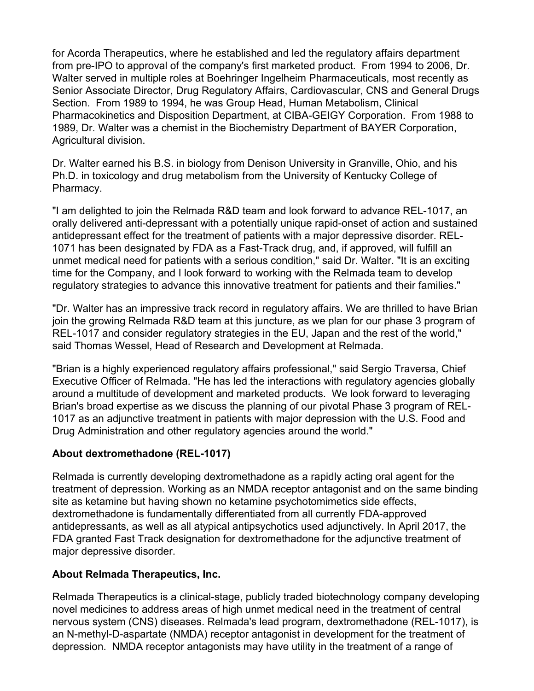for Acorda Therapeutics, where he established and led the regulatory affairs department from pre-IPO to approval of the company's first marketed product. From 1994 to 2006, Dr. Walter served in multiple roles at Boehringer Ingelheim Pharmaceuticals, most recently as Senior Associate Director, Drug Regulatory Affairs, Cardiovascular, CNS and General Drugs Section. From 1989 to 1994, he was Group Head, Human Metabolism, Clinical Pharmacokinetics and Disposition Department, at CIBA-GEIGY Corporation. From 1988 to 1989, Dr. Walter was a chemist in the Biochemistry Department of BAYER Corporation, Agricultural division.

Dr. Walter earned his B.S. in biology from Denison University in Granville, Ohio, and his Ph.D. in toxicology and drug metabolism from the University of Kentucky College of Pharmacy.

"I am delighted to join the Relmada R&D team and look forward to advance REL-1017, an orally delivered anti-depressant with a potentially unique rapid-onset of action and sustained antidepressant effect for the treatment of patients with a major depressive disorder. REL-1071 has been designated by FDA as a Fast-Track drug, and, if approved, will fulfill an unmet medical need for patients with a serious condition," said Dr. Walter. "It is an exciting time for the Company, and I look forward to working with the Relmada team to develop regulatory strategies to advance this innovative treatment for patients and their families."

"Dr. Walter has an impressive track record in regulatory affairs. We are thrilled to have Brian join the growing Relmada R&D team at this juncture, as we plan for our phase 3 program of REL-1017 and consider regulatory strategies in the EU, Japan and the rest of the world," said Thomas Wessel, Head of Research and Development at Relmada.

"Brian is a highly experienced regulatory affairs professional," said Sergio Traversa, Chief Executive Officer of Relmada. "He has led the interactions with regulatory agencies globally around a multitude of development and marketed products. We look forward to leveraging Brian's broad expertise as we discuss the planning of our pivotal Phase 3 program of REL-1017 as an adjunctive treatment in patients with major depression with the U.S. Food and Drug Administration and other regulatory agencies around the world."

#### **About dextromethadone (REL-1017)**

Relmada is currently developing dextromethadone as a rapidly acting oral agent for the treatment of depression. Working as an NMDA receptor antagonist and on the same binding site as ketamine but having shown no ketamine psychotomimetics side effects, dextromethadone is fundamentally differentiated from all currently FDA-approved antidepressants, as well as all atypical antipsychotics used adjunctively. In April 2017, the FDA granted Fast Track designation for dextromethadone for the adjunctive treatment of major depressive disorder.

#### **About Relmada Therapeutics, Inc.**

Relmada Therapeutics is a clinical-stage, publicly traded biotechnology company developing novel medicines to address areas of high unmet medical need in the treatment of central nervous system (CNS) diseases. Relmada's lead program, dextromethadone (REL-1017), is an N-methyl-D-aspartate (NMDA) receptor antagonist in development for the treatment of depression. NMDA receptor antagonists may have utility in the treatment of a range of